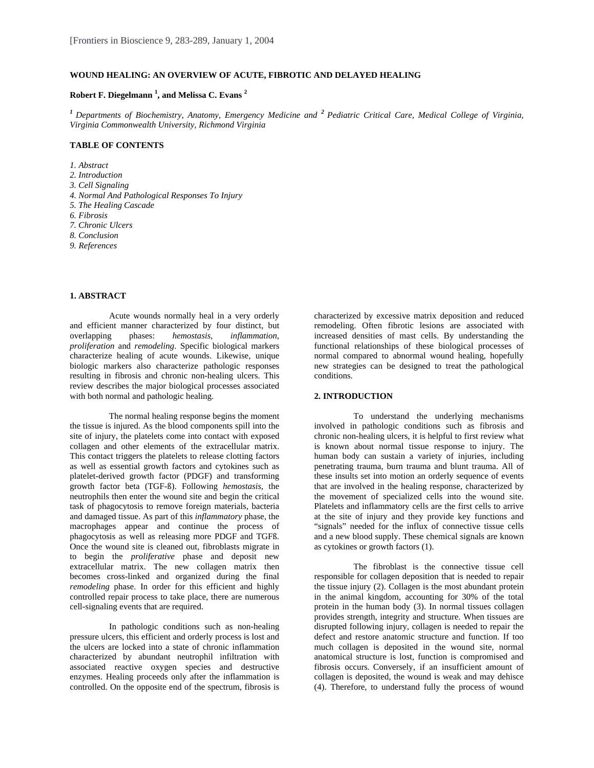# **WOUND HEALING: AN OVERVIEW OF ACUTE, FIBROTIC AND DELAYED HEALING**

## **Robert F. Diegelmann 1 , and Melissa C. Evans <sup>2</sup>**

*<sup>1</sup>Departments of Biochemistry, Anatomy, Emergency Medicine and <sup>2</sup>Pediatric Critical Care, Medical College of Virginia, Virginia Commonwealth University, Richmond Virginia* 

# **TABLE OF CONTENTS**

*1. Abstract* 

- *2. Introduction*
- *3. Cell Signaling*
- *4. Normal And Pathological Responses To Injury*
- *5. The Healing Cascade*
- *6. Fibrosis*
- *7. Chronic Ulcers*
- *8. Conclusion*
- *9. References*

## **1. ABSTRACT**

 Acute wounds normally heal in a very orderly and efficient manner characterized by four distinct, but<br>overlapping phases: *hemostasis*, *inflammation*, overlapping phases: *hemostasis*, *inflammation*, *proliferation* and *remodeling*. Specific biological markers characterize healing of acute wounds. Likewise, unique biologic markers also characterize pathologic responses resulting in fibrosis and chronic non-healing ulcers. This review describes the major biological processes associated with both normal and pathologic healing.

 The normal healing response begins the moment the tissue is injured. As the blood components spill into the site of injury, the platelets come into contact with exposed collagen and other elements of the extracellular matrix. This contact triggers the platelets to release clotting factors as well as essential growth factors and cytokines such as platelet-derived growth factor (PDGF) and transforming growth factor beta (TGF-ß). Following *hemostasis*, the neutrophils then enter the wound site and begin the critical task of phagocytosis to remove foreign materials, bacteria and damaged tissue. As part of this *inflammatory* phase, the macrophages appear and continue the process of phagocytosis as well as releasing more PDGF and TGFß. Once the wound site is cleaned out, fibroblasts migrate in to begin the *proliferative* phase and deposit new extracellular matrix. The new collagen matrix then becomes cross-linked and organized during the final *remodeling* phase. In order for this efficient and highly controlled repair process to take place, there are numerous cell-signaling events that are required.

 In pathologic conditions such as non-healing pressure ulcers, this efficient and orderly process is lost and the ulcers are locked into a state of chronic inflammation characterized by abundant neutrophil infiltration with associated reactive oxygen species and destructive enzymes. Healing proceeds only after the inflammation is controlled. On the opposite end of the spectrum, fibrosis is

characterized by excessive matrix deposition and reduced remodeling. Often fibrotic lesions are associated with increased densities of mast cells. By understanding the functional relationships of these biological processes of normal compared to abnormal wound healing, hopefully new strategies can be designed to treat the pathological conditions.

#### **2. INTRODUCTION**

 To understand the underlying mechanisms involved in pathologic conditions such as fibrosis and chronic non-healing ulcers, it is helpful to first review what is known about normal tissue response to injury. The human body can sustain a variety of injuries, including penetrating trauma, burn trauma and blunt trauma. All of these insults set into motion an orderly sequence of events that are involved in the healing response, characterized by the movement of specialized cells into the wound site. Platelets and inflammatory cells are the first cells to arrive at the site of injury and they provide key functions and "signals" needed for the influx of connective tissue cells and a new blood supply. These chemical signals are known as cytokines or growth factors (1).

 The fibroblast is the connective tissue cell responsible for collagen deposition that is needed to repair the tissue injury (2). Collagen is the most abundant protein in the animal kingdom, accounting for 30% of the total protein in the human body (3). In normal tissues collagen provides strength, integrity and structure. When tissues are disrupted following injury, collagen is needed to repair the defect and restore anatomic structure and function. If too much collagen is deposited in the wound site, normal anatomical structure is lost, function is compromised and fibrosis occurs. Conversely, if an insufficient amount of collagen is deposited, the wound is weak and may dehisce (4). Therefore, to understand fully the process of wound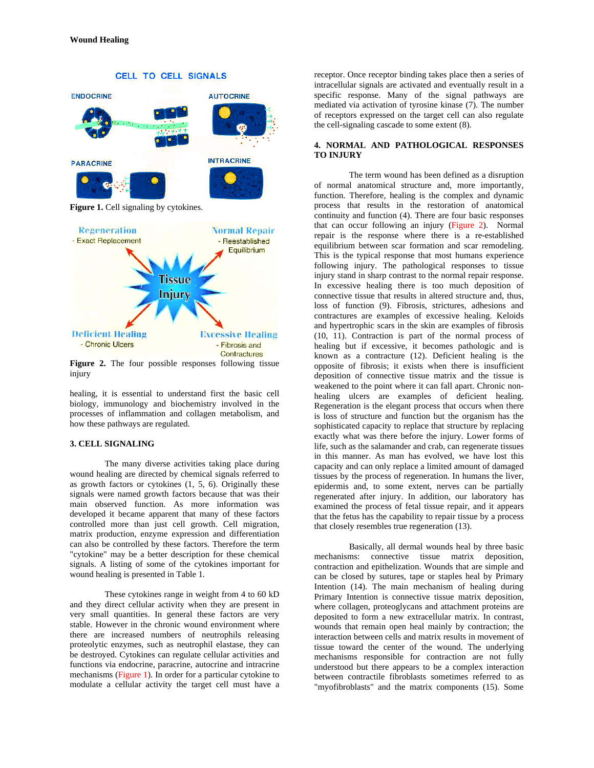

**CELL TO CELL SIGNALS** 

**Figure 1.** Cell signaling by cytokines.



Figure 2. The four possible responses following tissue injury

healing, it is essential to understand first the basic cell biology, immunology and biochemistry involved in the processes of inflammation and collagen metabolism, and how these pathways are regulated.

## **3. CELL SIGNALING**

The many diverse activities taking place during wound healing are directed by chemical signals referred to as growth factors or cytokines (1, 5, 6). Originally these signals were named growth factors because that was their main observed function. As more information was developed it became apparent that many of these factors controlled more than just cell growth. Cell migration, matrix production, enzyme expression and differentiation can also be controlled by these factors. Therefore the term "cytokine" may be a better description for these chemical signals. A listing of some of the cytokines important for wound healing is presented in Table 1.

These cytokines range in weight from 4 to 60 kD and they direct cellular activity when they are present in very small quantities. In general these factors are very stable. However in the chronic wound environment where there are increased numbers of neutrophils releasing proteolytic enzymes, such as neutrophil elastase, they can be destroyed. Cytokines can regulate cellular activities and functions via endocrine, paracrine, autocrine and intracrine mechanisms (Figure 1). In order for a particular cytokine to modulate a cellular activity the target cell must have a

receptor. Once receptor binding takes place then a series of intracellular signals are activated and eventually result in a specific response. Many of the signal pathways are mediated via activation of tyrosine kinase (7). The number of receptors expressed on the target cell can also regulate the cell-signaling cascade to some extent (8).

### **4. NORMAL AND PATHOLOGICAL RESPONSES TO INJURY**

The term wound has been defined as a disruption of normal anatomical structure and, more importantly, function. Therefore, healing is the complex and dynamic process that results in the restoration of anatomical continuity and function (4). There are four basic responses that can occur following an injury (Figure 2). Normal repair is the response where there is a re-established equilibrium between scar formation and scar remodeling. This is the typical response that most humans experience following injury. The pathological responses to tissue injury stand in sharp contrast to the normal repair response. In excessive healing there is too much deposition of connective tissue that results in altered structure and, thus, loss of function (9). Fibrosis, strictures, adhesions and contractures are examples of excessive healing. Keloids and hypertrophic scars in the skin are examples of fibrosis (10, 11). Contraction is part of the normal process of healing but if excessive, it becomes pathologic and is known as a contracture (12). Deficient healing is the opposite of fibrosis; it exists when there is insufficient deposition of connective tissue matrix and the tissue is weakened to the point where it can fall apart. Chronic nonhealing ulcers are examples of deficient healing. Regeneration is the elegant process that occurs when there is loss of structure and function but the organism has the sophisticated capacity to replace that structure by replacing exactly what was there before the injury. Lower forms of life, such as the salamander and crab, can regenerate tissues in this manner. As man has evolved, we have lost this capacity and can only replace a limited amount of damaged tissues by the process of regeneration. In humans the liver, epidermis and, to some extent, nerves can be partially regenerated after injury. In addition, our laboratory has examined the process of fetal tissue repair, and it appears that the fetus has the capability to repair tissue by a process that closely resembles true regeneration (13).

Basically, all dermal wounds heal by three basic mechanisms: connective tissue matrix deposition, contraction and epithelization. Wounds that are simple and can be closed by sutures, tape or staples heal by Primary Intention (14). The main mechanism of healing during Primary Intention is connective tissue matrix deposition, where collagen, proteoglycans and attachment proteins are deposited to form a new extracellular matrix. In contrast, wounds that remain open heal mainly by contraction; the interaction between cells and matrix results in movement of tissue toward the center of the wound. The underlying mechanisms responsible for contraction are not fully understood but there appears to be a complex interaction between contractile fibroblasts sometimes referred to as "myofibroblasts" and the matrix components (15). Some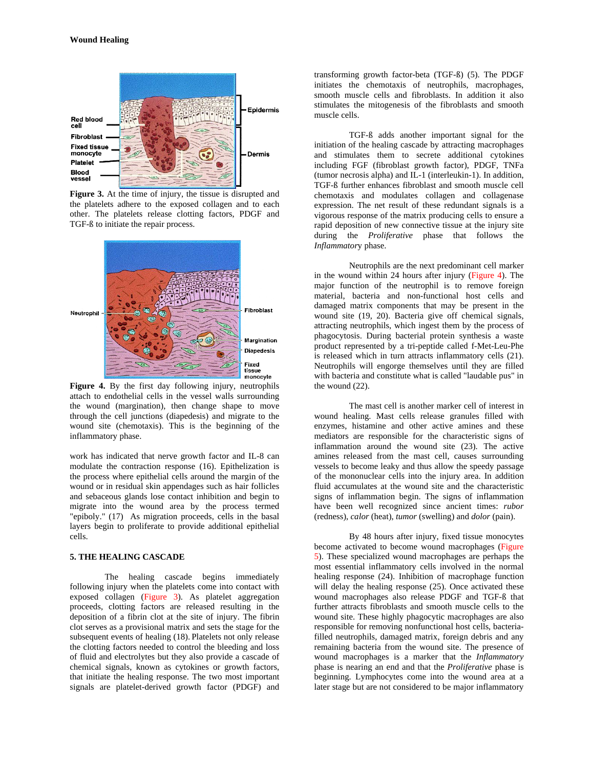

**Figure 3.** At the time of injury, the tissue is disrupted and the platelets adhere to the exposed collagen and to each other. The platelets release clotting factors, PDGF and TGF-ß to initiate the repair process.



**Figure 4.** By the first day following injury, neutrophils attach to endothelial cells in the vessel walls surrounding the wound (margination), then change shape to move through the cell junctions (diapedesis) and migrate to the wound site (chemotaxis). This is the beginning of the inflammatory phase.

work has indicated that nerve growth factor and IL-8 can modulate the contraction response (16). Epithelization is the process where epithelial cells around the margin of the wound or in residual skin appendages such as hair follicles and sebaceous glands lose contact inhibition and begin to migrate into the wound area by the process termed "epiboly." (17) As migration proceeds, cells in the basal layers begin to proliferate to provide additional epithelial cells.

#### **5. THE HEALING CASCADE**

The healing cascade begins immediately following injury when the platelets come into contact with exposed collagen (Figure 3). As platelet aggregation proceeds, clotting factors are released resulting in the deposition of a fibrin clot at the site of injury. The fibrin clot serves as a provisional matrix and sets the stage for the subsequent events of healing (18). Platelets not only release the clotting factors needed to control the bleeding and loss of fluid and electrolytes but they also provide a cascade of chemical signals, known as cytokines or growth factors, that initiate the healing response. The two most important signals are platelet-derived growth factor (PDGF) and

transforming growth factor-beta (TGF-ß) (5). The PDGF initiates the chemotaxis of neutrophils, macrophages, smooth muscle cells and fibroblasts. In addition it also stimulates the mitogenesis of the fibroblasts and smooth muscle cells.

TGF-ß adds another important signal for the initiation of the healing cascade by attracting macrophages and stimulates them to secrete additional cytokines including FGF (fibroblast growth factor), PDGF, TNFa (tumor necrosis alpha) and IL-1 (interleukin-1). In addition, TGF-ß further enhances fibroblast and smooth muscle cell chemotaxis and modulates collagen and collagenase expression. The net result of these redundant signals is a vigorous response of the matrix producing cells to ensure a rapid deposition of new connective tissue at the injury site during the *Proliferative* phase that follows the *Inflammator*y phase.

Neutrophils are the next predominant cell marker in the wound within 24 hours after injury (Figure 4). The major function of the neutrophil is to remove foreign material, bacteria and non-functional host cells and damaged matrix components that may be present in the wound site (19, 20). Bacteria give off chemical signals, attracting neutrophils, which ingest them by the process of phagocytosis. During bacterial protein synthesis a waste product represented by a tri-peptide called f*-*Met-Leu-Phe is released which in turn attracts inflammatory cells (21). Neutrophils will engorge themselves until they are filled with bacteria and constitute what is called "laudable pus" in the wound (22).

The mast cell is another marker cell of interest in wound healing. Mast cells release granules filled with enzymes, histamine and other active amines and these mediators are responsible for the characteristic signs of inflammation around the wound site (23). The active amines released from the mast cell, causes surrounding vessels to become leaky and thus allow the speedy passage of the mononuclear cells into the injury area. In addition fluid accumulates at the wound site and the characteristic signs of inflammation begin. The signs of inflammation have been well recognized since ancient times: *rubor* (redness), *calor* (heat), *tumor* (swelling) and *dolor* (pain).

By 48 hours after injury, fixed tissue monocytes become activated to become wound macrophages (Figure 5). These specialized wound macrophages are perhaps the most essential inflammatory cells involved in the normal healing response (24). Inhibition of macrophage function will delay the healing response (25). Once activated these wound macrophages also release PDGF and TGF-ß that further attracts fibroblasts and smooth muscle cells to the wound site. These highly phagocytic macrophages are also responsible for removing nonfunctional host cells, bacteriafilled neutrophils, damaged matrix, foreign debris and any remaining bacteria from the wound site. The presence of wound macrophages is a marker that the *Inflammatory* phase is nearing an end and that the *Proliferative* phase is beginning. Lymphocytes come into the wound area at a later stage but are not considered to be major inflammatory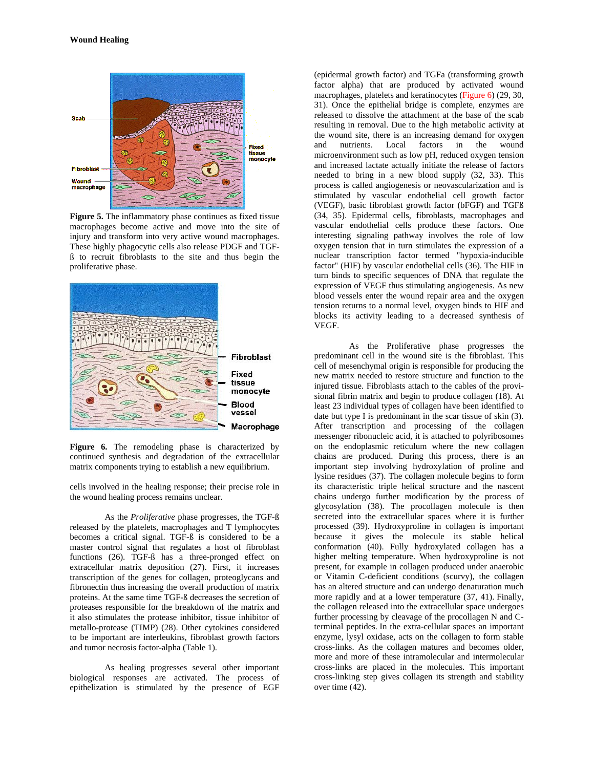

**Figure 5.** The inflammatory phase continues as fixed tissue macrophages become active and move into the site of injury and transform into very active wound macrophages. These highly phagocytic cells also release PDGF and TGFß to recruit fibroblasts to the site and thus begin the proliferative phase.



Figure 6. The remodeling phase is characterized by continued synthesis and degradation of the extracellular matrix components trying to establish a new equilibrium.

cells involved in the healing response; their precise role in the wound healing process remains unclear.

 As the *Proliferative* phase progresses, the TGF-ß released by the platelets, macrophages and T lymphocytes becomes a critical signal. TGF-ß is considered to be a master control signal that regulates a host of fibroblast functions (26). TGF-ß has a three-pronged effect on extracellular matrix deposition (27). First, it increases transcription of the genes for collagen, proteoglycans and fibronectin thus increasing the overall production of matrix proteins. At the same time TGF-ß decreases the secretion of proteases responsible for the breakdown of the matrix and it also stimulates the protease inhibitor, tissue inhibitor of metallo-protease (TIMP) (28). Other cytokines considered to be important are interleukins, fibroblast growth factors and tumor necrosis factor-alpha (Table 1).

As healing progresses several other important biological responses are activated. The process of epithelization is stimulated by the presence of EGF

(epidermal growth factor) and TGFa (transforming growth factor alpha) that are produced by activated wound macrophages, platelets and keratinocytes (Figure 6) (29, 30, 31). Once the epithelial bridge is complete, enzymes are released to dissolve the attachment at the base of the scab resulting in removal. Due to the high metabolic activity at the wound site, there is an increasing demand for oxygen and nutrients. Local factors in the wound microenvironment such as low pH, reduced oxygen tension and increased lactate actually initiate the release of factors needed to bring in a new blood supply (32, 33). This process is called angiogenesis or neovascularization and is stimulated by vascular endothelial cell growth factor (VEGF), basic fibroblast growth factor (bFGF) and TGFß (34, 35). Epidermal cells, fibroblasts, macrophages and vascular endothelial cells produce these factors. One interesting signaling pathway involves the role of low oxygen tension that in turn stimulates the expression of a nuclear transcription factor termed "hypoxia-inducible factor" (HIF) by vascular endothelial cells (36). The HIF in turn binds to specific sequences of DNA that regulate the expression of VEGF thus stimulating angiogenesis. As new blood vessels enter the wound repair area and the oxygen tension returns to a normal level, oxygen binds to HIF and blocks its activity leading to a decreased synthesis of VEGF.

As the Proliferative phase progresses the predominant cell in the wound site is the fibroblast. This cell of mesenchymal origin is responsible for producing the new matrix needed to restore structure and function to the injured tissue. Fibroblasts attach to the cables of the provisional fibrin matrix and begin to produce collagen (18). At least 23 individual types of collagen have been identified to date but type I is predominant in the scar tissue of skin (3). After transcription and processing of the collagen messenger ribonucleic acid, it is attached to polyribosomes on the endoplasmic reticulum where the new collagen chains are produced. During this process, there is an important step involving hydroxylation of proline and lysine residues (37). The collagen molecule begins to form its characteristic triple helical structure and the nascent chains undergo further modification by the process of glycosylation (38). The procollagen molecule is then secreted into the extracellular spaces where it is further processed (39). Hydroxyproline in collagen is important because it gives the molecule its stable helical conformation (40). Fully hydroxylated collagen has a higher melting temperature. When hydroxyproline is not present, for example in collagen produced under anaerobic or Vitamin C-deficient conditions (scurvy), the collagen has an altered structure and can undergo denaturation much more rapidly and at a lower temperature (37, 41). Finally, the collagen released into the extracellular space undergoes further processing by cleavage of the procollagen N and Cterminal peptides. In the extra-cellular spaces an important enzyme, lysyl oxidase, acts on the collagen to form stable cross-links. As the collagen matures and becomes older, more and more of these intramolecular and intermolecular cross-links are placed in the molecules. This important cross-linking step gives collagen its strength and stability over time (42).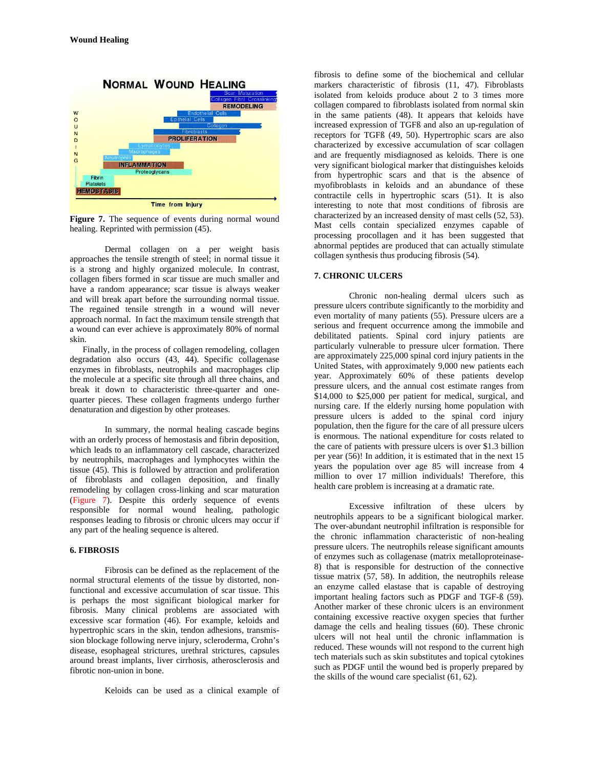

**Figure 7.** The sequence of events during normal wound healing. Reprinted with permission (45).

Dermal collagen on a per weight basis approaches the tensile strength of steel; in normal tissue it is a strong and highly organized molecule. In contrast, collagen fibers formed in scar tissue are much smaller and have a random appearance; scar tissue is always weaker and will break apart before the surrounding normal tissue. The regained tensile strength in a wound will never approach normal. In fact the maximum tensile strength that a wound can ever achieve is approximately 80% of normal skin.

Finally, in the process of collagen remodeling, collagen degradation also occurs (43, 44). Specific collagenase enzymes in fibroblasts, neutrophils and macrophages clip the molecule at a specific site through all three chains, and break it down to characteristic three-quarter and onequarter pieces. These collagen fragments undergo further denaturation and digestion by other proteases.

In summary, the normal healing cascade begins with an orderly process of hemostasis and fibrin deposition, which leads to an inflammatory cell cascade, characterized by neutrophils, macrophages and lymphocytes within the tissue (45). This is followed by attraction and proliferation of fibroblasts and collagen deposition, and finally remodeling by collagen cross-linking and scar maturation (Figure 7). Despite this orderly sequence of events responsible for normal wound healing, pathologic responses leading to fibrosis or chronic ulcers may occur if any part of the healing sequence is altered.

### **6. FIBROSIS**

Fibrosis can be defined as the replacement of the normal structural elements of the tissue by distorted, nonfunctional and excessive accumulation of scar tissue. This is perhaps the most significant biological marker for fibrosis. Many clinical problems are associated with excessive scar formation (46). For example, keloids and hypertrophic scars in the skin, tendon adhesions, transmission blockage following nerve injury, scleroderma, Crohn's disease, esophageal strictures, urethral strictures, capsules around breast implants, liver cirrhosis, atherosclerosis and fibrotic non-union in bone.

Keloids can be used as a clinical example of

fibrosis to define some of the biochemical and cellular markers characteristic of fibrosis (11, 47). Fibroblasts isolated from keloids produce about 2 to 3 times more collagen compared to fibroblasts isolated from normal skin in the same patients (48). It appears that keloids have increased expression of TGFß and also an up-regulation of receptors for TGFß (49, 50). Hypertrophic scars are also characterized by excessive accumulation of scar collagen and are frequently misdiagnosed as keloids. There is one very significant biological marker that distinguishes keloids from hypertrophic scars and that is the absence of myofibroblasts in keloids and an abundance of these contractile cells in hypertrophic scars (51). It is also interesting to note that most conditions of fibrosis are characterized by an increased density of mast cells (52, 53). Mast cells contain specialized enzymes capable of processing procollagen and it has been suggested that abnormal peptides are produced that can actually stimulate collagen synthesis thus producing fibrosis (54).

## **7. CHRONIC ULCERS**

Chronic non-healing dermal ulcers such as pressure ulcers contribute significantly to the morbidity and even mortality of many patients (55). Pressure ulcers are a serious and frequent occurrence among the immobile and debilitated patients. Spinal cord injury patients are particularly vulnerable to pressure ulcer formation. There are approximately 225,000 spinal cord injury patients in the United States, with approximately 9,000 new patients each year. Approximately 60% of these patients develop pressure ulcers, and the annual cost estimate ranges from \$14,000 to \$25,000 per patient for medical, surgical, and nursing care. If the elderly nursing home population with pressure ulcers is added to the spinal cord injury population, then the figure for the care of all pressure ulcers is enormous. The national expenditure for costs related to the care of patients with pressure ulcers is over \$1.3 billion per year (56)! In addition, it is estimated that in the next 15 years the population over age 85 will increase from 4 million to over 17 million individuals! Therefore, this health care problem is increasing at a dramatic rate.

Excessive infiltration of these ulcers by neutrophils appears to be a significant biological marker. The over-abundant neutrophil infiltration is responsible for the chronic inflammation characteristic of non-healing pressure ulcers. The neutrophils release significant amounts of enzymes such as collagenase (matrix metalloproteinase-8) that is responsible for destruction of the connective tissue matrix  $(57, 58)$ . In addition, the neutrophils release an enzyme called elastase that is capable of destroying important healing factors such as PDGF and TGF-ß (59). Another marker of these chronic ulcers is an environment containing excessive reactive oxygen species that further damage the cells and healing tissues (60). These chronic ulcers will not heal until the chronic inflammation is reduced. These wounds will not respond to the current high tech materials such as skin substitutes and topical cytokines such as PDGF until the wound bed is properly prepared by the skills of the wound care specialist  $(61, 62)$ .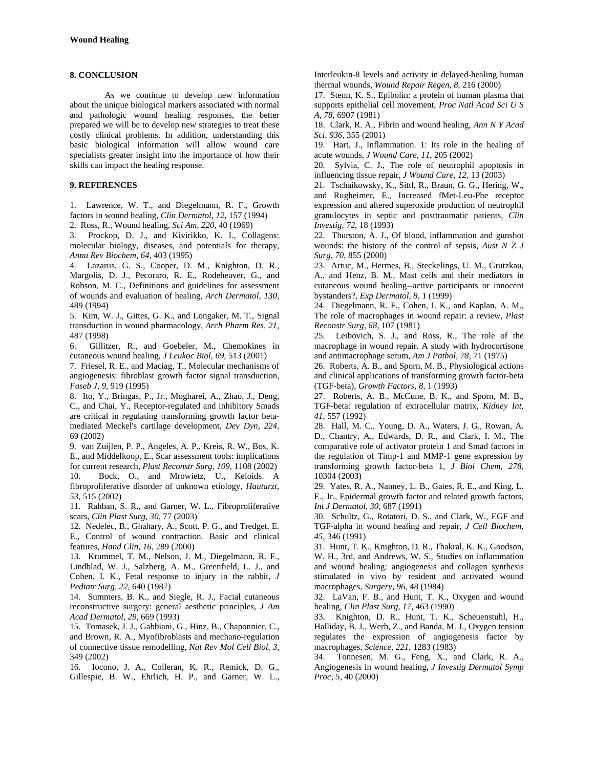## **8. CONCLUSION**

 As we continue to develop new information about the unique biological markers associated with normal and pathologic wound healing responses, the better prepared we will be to develop new strategies to treat these costly clinical problems. In addition, understanding this basic biological information will allow wound care specialists greater insight into the importance of how their skills can impact the healing response.

### **9. REFERENCES**

1. Lawrence, W. T., and Diegelmann, R. F., Growth factors in wound healing, *Clin Dermatol, 12*, 157 (1994)

2. Ross, R., Wound healing, *Sci Am, 220*, 40 (1969)

Prockop, D. J., and Kivirikko, K. I., Collagens: molecular biology, diseases, and potentials for therapy, *Annu Rev Biochem, 64*, 403 (1995)

4. Lazarus, G. S., Cooper, D. M., Knighton, D. R., Margolis, D. J., Pecoraro, R. E., Rodeheaver, G., and Robson, M. C., Definitions and guidelines for assessment of wounds and evaluation of healing, *Arch Dermatol, 130*, 489 (1994)

5. Kim, W. J., Gittes, G. K., and Longaker, M. T., Signal transduction in wound pharmacology, *Arch Pharm Res, 21*, 487 (1998)

6. Gillitzer, R., and Goebeler, M., Chemokines in cutaneous wound healing, *J Leukoc Biol, 69*, 513 (2001)

7. Friesel, R. E., and Maciag, T., Molecular mechanisms of angiogenesis: fibroblast growth factor signal transduction, *Faseb J, 9*, 919 (1995)

8. Ito, Y., Bringas, P., Jr., Mogharei, A., Zhao, J., Deng, C., and Chai, Y., Receptor-regulated and inhibitory Smads are critical in regulating transforming growth factor betamediated Meckel's cartilage development, *Dev Dyn, 224*, 69 (2002)

9. van Zuijlen, P. P., Angeles, A. P., Kreis, R. W., Bos, K. E., and Middelkoop, E., Scar assessment tools: implications for current research, *Plast Reconstr Surg, 109*, 1108 (2002) 10. Bock, O., and Mrowietz, U., Keloids. A fibroproliferative disorder of unknown etiology, *Hautarzt,* 

*53*, 515 (2002)

11. Rahban, S. R., and Garner, W. L., Fibroproliferative scars, *Clin Plast Surg, 30*, 77 (2003)

12. Nedelec, B., Ghahary, A., Scott, P. G., and Tredget, E. E., Control of wound contraction. Basic and clinical features, *Hand Clin, 16*, 289 (2000)

13. Krummel, T. M., Nelson, J. M., Diegelmann, R. F., Lindblad, W. J., Salzberg, A. M., Greenfield, L. J., and Cohen, I. K., Fetal response to injury in the rabbit, *J Pediatr Surg, 22*, 640 (1987)

14. Summers, B. K., and Siegle, R. J., Facial cutaneous reconstructive surgery: general aesthetic principles, *J Am Acad Dermatol, 29*, 669 (1993)

15. Tomasek, J. J., Gabbiani, G., Hinz, B., Chaponnier, C., and Brown, R. A., Myofibroblasts and mechano-regulation of connective tissue remodelling, *Nat Rev Mol Cell Biol, 3*, 349 (2002)

16. Iocono, J. A., Colleran, K. R., Remick, D. G., Gillespie, B. W., Ehrlich, H. P., and Garner, W. L., Interleukin-8 levels and activity in delayed-healing human thermal wounds, *Wound Repair Regen, 8*, 216 (2000)

17. Stenn, K. S., Epibolin: a protein of human plasma that supports epithelial cell movement, *Proc Natl Acad Sci U S A, 78*, 6907 (1981)

18. Clark, R. A., Fibrin and wound healing, *Ann N Y Acad Sci, 936*, 355 (2001)

19. Hart, J., Inflammation. 1: Its role in the healing of acute wounds, *J Wound Care, 11*, 205 (2002)

20. Sylvia, C. J., The role of neutrophil apoptosis in influencing tissue repair, *J Wound Care, 12*, 13 (2003)

21. Tschaikowsky, K., Sittl, R., Braun, G. G., Hering, W., and Rugheimer, E., Increased fMet-Leu-Phe receptor expression and altered superoxide production of neutrophil granulocytes in septic and posttraumatic patients, *Clin Investig, 72*, 18 (1993)

22. Thurston, A. J., Of blood, inflammation and gunshot wounds: the history of the control of sepsis, *Aust N Z J Surg, 70*, 855 (2000)

23. Artuc, M., Hermes, B., Steckelings, U. M., Grutzkau, A., and Henz, B. M., Mast cells and their mediators in cutaneous wound healing--active participants or innocent bystanders?, *Exp Dermatol, 8*, 1 (1999)

24. Diegelmann, R. F., Cohen, I. K., and Kaplan, A. M., The role of macrophages in wound repair: a review, *Plast Reconstr Surg, 68*, 107 (1981)

25. Leibovich, S. J., and Ross, R., The role of the macrophage in wound repair. A study with hydrocortisone and antimacrophage serum, *Am J Pathol, 78*, 71 (1975)

26. Roberts, A. B., and Sporn, M. B., Physiological actions and clinical applications of transforming growth factor-beta (TGF-beta), *Growth Factors, 8*, 1 (1993)

27. Roberts, A. B., McCune, B. K., and Sporn, M. B., TGF-beta: regulation of extracellular matrix, *Kidney Int, 41*, 557 (1992)

28. Hall, M. C., Young, D. A., Waters, J. G., Rowan, A. D., Chantry, A., Edwards, D. R., and Clark, I. M., The comparative role of activator protein 1 and Smad factors in the regulation of Timp-1 and MMP-1 gene expression by transforming growth factor-beta 1, *J Biol Chem, 278*, 10304 (2003)

29. Yates, R. A., Nanney, L. B., Gates, R. E., and King, L. E., Jr., Epidermal growth factor and related growth factors, *Int J Dermatol, 30*, 687 (1991)

30. Schultz, G., Rotatori, D. S., and Clark, W., EGF and TGF-alpha in wound healing and repair, *J Cell Biochem, 45*, 346 (1991)

31. Hunt, T. K., Knighton, D. R., Thakral, K. K., Goodson, W. H., 3rd, and Andrews, W. S., Studies on inflammation and wound healing: angiogenesis and collagen synthesis stimulated in vivo by resident and activated wound macrophages, *Surgery, 96*, 48 (1984)

32. LaVan, F. B., and Hunt, T. K., Oxygen and wound healing, *Clin Plast Surg, 17*, 463 (1990)

33. Knighton, D. R., Hunt, T. K., Scheuenstuhl, H., Halliday, B. J., Werb, Z., and Banda, M. J., Oxygen tension regulates the expression of angiogenesis factor by macrophages, *Science, 221*, 1283 (1983)

34. Tonnesen, M. G., Feng, X., and Clark, R. A., Angiogenesis in wound healing, *J Investig Dermatol Symp Proc, 5*, 40 (2000)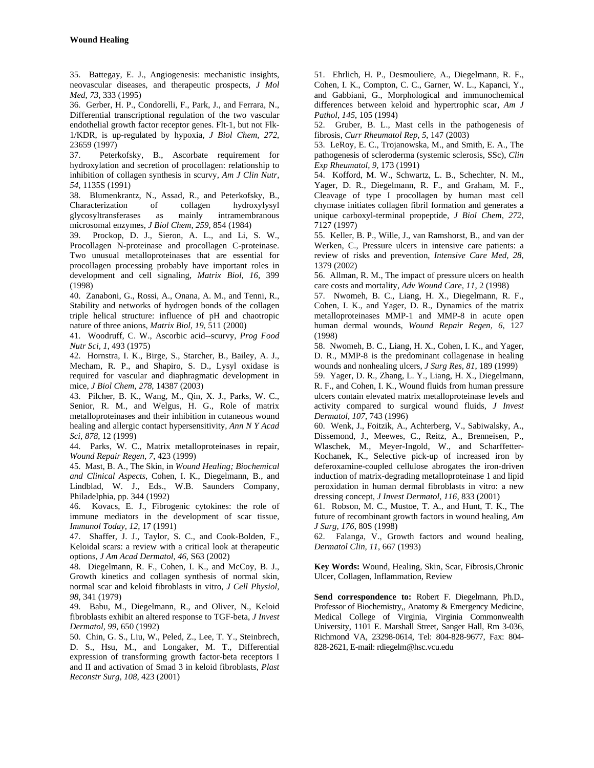35. Battegay, E. J., Angiogenesis: mechanistic insights, neovascular diseases, and therapeutic prospects, *J Mol Med, 73*, 333 (1995)

36. Gerber, H. P., Condorelli, F., Park, J., and Ferrara, N., Differential transcriptional regulation of the two vascular endothelial growth factor receptor genes. Flt-1, but not Flk-1/KDR, is up-regulated by hypoxia, *J Biol Chem, 272*, 23659 (1997)

37. Peterkofsky, B., Ascorbate requirement for hydroxylation and secretion of procollagen: relationship to inhibition of collagen synthesis in scurvy, *Am J Clin Nutr, 54*, 1135S (1991)

38. Blumenkrantz, N., Assad, R., and Peterkofsky, B., Characterization of collagen hydroxylysyl glycosyltransferases as mainly intramembranous microsomal enzymes, *J Biol Chem, 259*, 854 (1984)

39. Prockop, D. J., Sieron, A. L., and Li, S. W., Procollagen N-proteinase and procollagen C-proteinase. Two unusual metalloproteinases that are essential for procollagen processing probably have important roles in development and cell signaling, *Matrix Biol, 16*, 399 (1998)

40. Zanaboni, G., Rossi, A., Onana, A. M., and Tenni, R., Stability and networks of hydrogen bonds of the collagen triple helical structure: influence of pH and chaotropic nature of three anions, *Matrix Biol, 19*, 511 (2000)

41. Woodruff, C. W., Ascorbic acid--scurvy, *Prog Food Nutr Sci, 1*, 493 (1975)

42. Hornstra, I. K., Birge, S., Starcher, B., Bailey, A. J., Mecham, R. P., and Shapiro, S. D., Lysyl oxidase is required for vascular and diaphragmatic development in mice, *J Biol Chem, 278*, 14387 (2003)

43. Pilcher, B. K., Wang, M., Qin, X. J., Parks, W. C., Senior, R. M., and Welgus, H. G., Role of matrix metalloproteinases and their inhibition in cutaneous wound healing and allergic contact hypersensitivity, *Ann N Y Acad Sci, 878*, 12 (1999)

44. Parks, W. C., Matrix metalloproteinases in repair, *Wound Repair Regen, 7*, 423 (1999)

45. Mast, B. A., The Skin, in *Wound Healing; Biochemical and Clinical Aspects*, Cohen, I. K., Diegelmann, B., and Lindblad, W. J., Eds., W.B. Saunders Company, Philadelphia, pp. 344 (1992)

46. Kovacs, E. J., Fibrogenic cytokines: the role of immune mediators in the development of scar tissue, *Immunol Today, 12*, 17 (1991)

47. Shaffer, J. J., Taylor, S. C., and Cook-Bolden, F., Keloidal scars: a review with a critical look at therapeutic options, *J Am Acad Dermatol, 46*, S63 (2002)

48. Diegelmann, R. F., Cohen, I. K., and McCoy, B. J., Growth kinetics and collagen synthesis of normal skin, normal scar and keloid fibroblasts in vitro, *J Cell Physiol, 98*, 341 (1979)

49. Babu, M., Diegelmann, R., and Oliver, N., Keloid fibroblasts exhibit an altered response to TGF-beta, *J Invest Dermatol, 99*, 650 (1992)

50. Chin, G. S., Liu, W., Peled, Z., Lee, T. Y., Steinbrech, D. S., Hsu, M., and Longaker, M. T., Differential expression of transforming growth factor-beta receptors I and II and activation of Smad 3 in keloid fibroblasts, *Plast Reconstr Surg, 108*, 423 (2001)

51. Ehrlich, H. P., Desmouliere, A., Diegelmann, R. F., Cohen, I. K., Compton, C. C., Garner, W. L., Kapanci, Y., and Gabbiani, G., Morphological and immunochemical differences between keloid and hypertrophic scar, *Am J Pathol, 145*, 105 (1994)

52. Gruber, B. L., Mast cells in the pathogenesis of fibrosis, *Curr Rheumatol Rep, 5*, 147 (2003)

53. LeRoy, E. C., Trojanowska, M., and Smith, E. A., The pathogenesis of scleroderma (systemic sclerosis, SSc), *Clin Exp Rheumatol, 9*, 173 (1991)

54. Kofford, M. W., Schwartz, L. B., Schechter, N. M., Yager, D. R., Diegelmann, R. F., and Graham, M. F., Cleavage of type I procollagen by human mast cell chymase initiates collagen fibril formation and generates a unique carboxyl-terminal propeptide, *J Biol Chem, 272*, 7127 (1997)

55. Keller, B. P., Wille, J., van Ramshorst, B., and van der Werken, C., Pressure ulcers in intensive care patients: a review of risks and prevention, *Intensive Care Med, 28*, 1379 (2002)

56. Allman, R. M., The impact of pressure ulcers on health care costs and mortality, *Adv Wound Care, 11*, 2 (1998)

57. Nwomeh, B. C., Liang, H. X., Diegelmann, R. F., Cohen, I. K., and Yager, D. R., Dynamics of the matrix metalloproteinases MMP-1 and MMP-8 in acute open human dermal wounds, *Wound Repair Regen, 6*, 127 (1998)

58. Nwomeh, B. C., Liang, H. X., Cohen, I. K., and Yager, D. R., MMP-8 is the predominant collagenase in healing wounds and nonhealing ulcers, *J Surg Res, 81*, 189 (1999)

59. Yager, D. R., Zhang, L. Y., Liang, H. X., Diegelmann, R. F., and Cohen, I. K., Wound fluids from human pressure ulcers contain elevated matrix metalloproteinase levels and activity compared to surgical wound fluids, *J Invest Dermatol, 107*, 743 (1996)

60. Wenk, J., Foitzik, A., Achterberg, V., Sabiwalsky, A., Dissemond, J., Meewes, C., Reitz, A., Brenneisen, P., Wlaschek, M., Meyer-Ingold, W., and Scharffetter-Kochanek, K., Selective pick-up of increased iron by deferoxamine-coupled cellulose abrogates the iron-driven induction of matrix-degrading metalloproteinase 1 and lipid peroxidation in human dermal fibroblasts in vitro: a new dressing concept, *J Invest Dermatol, 116*, 833 (2001)

61. Robson, M. C., Mustoe, T. A., and Hunt, T. K., The future of recombinant growth factors in wound healing, *Am J Surg, 176*, 80S (1998)

62. Falanga, V., Growth factors and wound healing, *Dermatol Clin, 11*, 667 (1993)

**Key Words:** Wound, Healing, Skin, Scar, Fibrosis,Chronic Ulcer, Collagen, Inflammation, Review

**Send correspondence to:** Robert F. Diegelmann, Ph.D., Professor of Biochemistry,, Anatomy & Emergency Medicine, Medical College of Virginia, Virginia Commonwealth University, 1101 E. Marshall Street, Sanger Hall, Rm 3-036, Richmond VA, 23298-0614, Tel: 804-828-9677, Fax: 804- 828-2621, E-mail: rdiegelm@hsc.vcu.edu